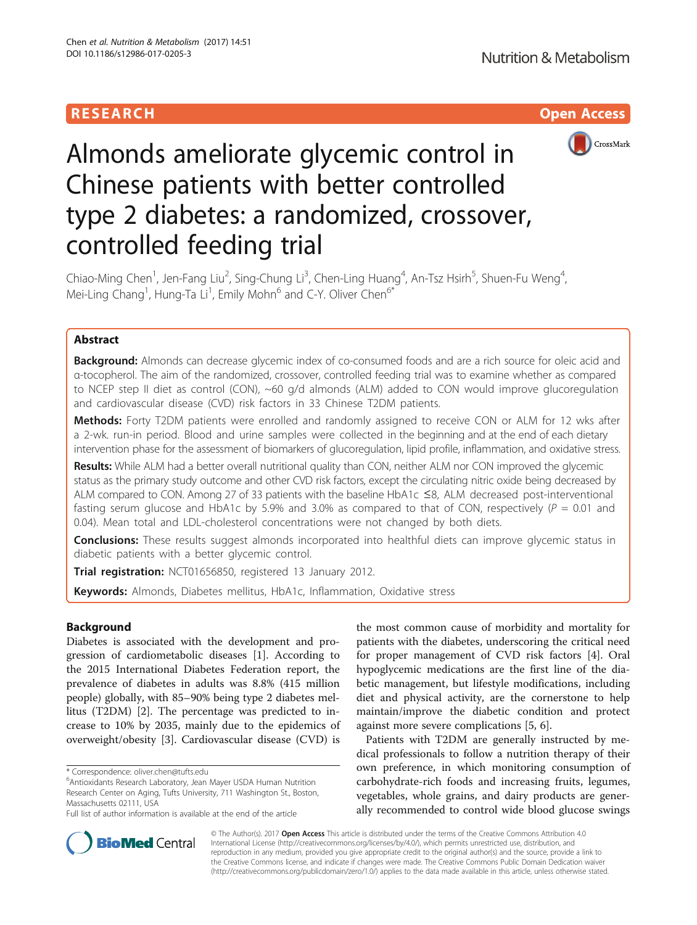# **RESEARCH CHILD CONTROL** CONTROL CONTROL CONTROL CONTROL CONTROL CONTROL CONTROL CONTROL CONTROL CONTROL CONTROL



# Almonds ameliorate glycemic control in Chinese patients with better controlled type 2 diabetes: a randomized, crossover, controlled feeding trial

Chiao-Ming Chen<sup>1</sup>, Jen-Fang Liu<sup>2</sup>, Sing-Chung Li<sup>3</sup>, Chen-Ling Huang<sup>4</sup>, An-Tsz Hsirh<sup>5</sup>, Shuen-Fu Weng<sup>4</sup> , Mei-Ling Chang<sup>1</sup>, Hung-Ta Li<sup>1</sup>, Emily Mohn<sup>6</sup> and C-Y. Oliver Chen<sup>6\*</sup>

## Abstract

Background: Almonds can decrease glycemic index of co-consumed foods and are a rich source for oleic acid and α-tocopherol. The aim of the randomized, crossover, controlled feeding trial was to examine whether as compared to NCEP step II diet as control (CON), ~60 g/d almonds (ALM) added to CON would improve glucoregulation and cardiovascular disease (CVD) risk factors in 33 Chinese T2DM patients.

Methods: Forty T2DM patients were enrolled and randomly assigned to receive CON or ALM for 12 wks after a 2-wk. run-in period. Blood and urine samples were collected in the beginning and at the end of each dietary intervention phase for the assessment of biomarkers of glucoregulation, lipid profile, inflammation, and oxidative stress.

Results: While ALM had a better overall nutritional quality than CON, neither ALM nor CON improved the glycemic status as the primary study outcome and other CVD risk factors, except the circulating nitric oxide being decreased by ALM compared to CON. Among 27 of 33 patients with the baseline HbA1c ≤8, ALM decreased post-interventional fasting serum glucose and HbA1c by 5.9% and 3.0% as compared to that of CON, respectively ( $P = 0.01$  and 0.04). Mean total and LDL-cholesterol concentrations were not changed by both diets.

**Conclusions:** These results suggest almonds incorporated into healthful diets can improve glycemic status in diabetic patients with a better glycemic control.

Trial registration: [NCT01656850](https://clinicaltrials.gov/ct2/show/NCT01656850), registered 13 January 2012.

Keywords: Almonds, Diabetes mellitus, HbA1c, Inflammation, Oxidative stress

## Background

Diabetes is associated with the development and progression of cardiometabolic diseases [\[1](#page-10-0)]. According to the 2015 International Diabetes Federation report, the prevalence of diabetes in adults was 8.8% (415 million people) globally, with 85–90% being type 2 diabetes mellitus (T2DM) [\[2](#page-10-0)]. The percentage was predicted to increase to 10% by 2035, mainly due to the epidemics of overweight/obesity [[3\]](#page-10-0). Cardiovascular disease (CVD) is

Antioxidants Research Laboratory, Jean Mayer USDA Human Nutrition Research Center on Aging, Tufts University, 711 Washington St., Boston, Massachusetts 02111, USA

the most common cause of morbidity and mortality for patients with the diabetes, underscoring the critical need for proper management of CVD risk factors [\[4](#page-10-0)]. Oral hypoglycemic medications are the first line of the diabetic management, but lifestyle modifications, including diet and physical activity, are the cornerstone to help maintain/improve the diabetic condition and protect against more severe complications [[5, 6\]](#page-10-0).

Patients with T2DM are generally instructed by medical professionals to follow a nutrition therapy of their own preference, in which monitoring consumption of carbohydrate-rich foods and increasing fruits, legumes, vegetables, whole grains, and dairy products are generally recommended to control wide blood glucose swings



© The Author(s). 2017 **Open Access** This article is distributed under the terms of the Creative Commons Attribution 4.0 International License [\(http://creativecommons.org/licenses/by/4.0/](http://creativecommons.org/licenses/by/4.0/)), which permits unrestricted use, distribution, and reproduction in any medium, provided you give appropriate credit to the original author(s) and the source, provide a link to the Creative Commons license, and indicate if changes were made. The Creative Commons Public Domain Dedication waiver [\(http://creativecommons.org/publicdomain/zero/1.0/](http://creativecommons.org/publicdomain/zero/1.0/)) applies to the data made available in this article, unless otherwise stated.

<sup>\*</sup> Correspondence: [oliver.chen@tufts.edu](mailto:oliver.chen@tufts.edu) <sup>6</sup>

Full list of author information is available at the end of the article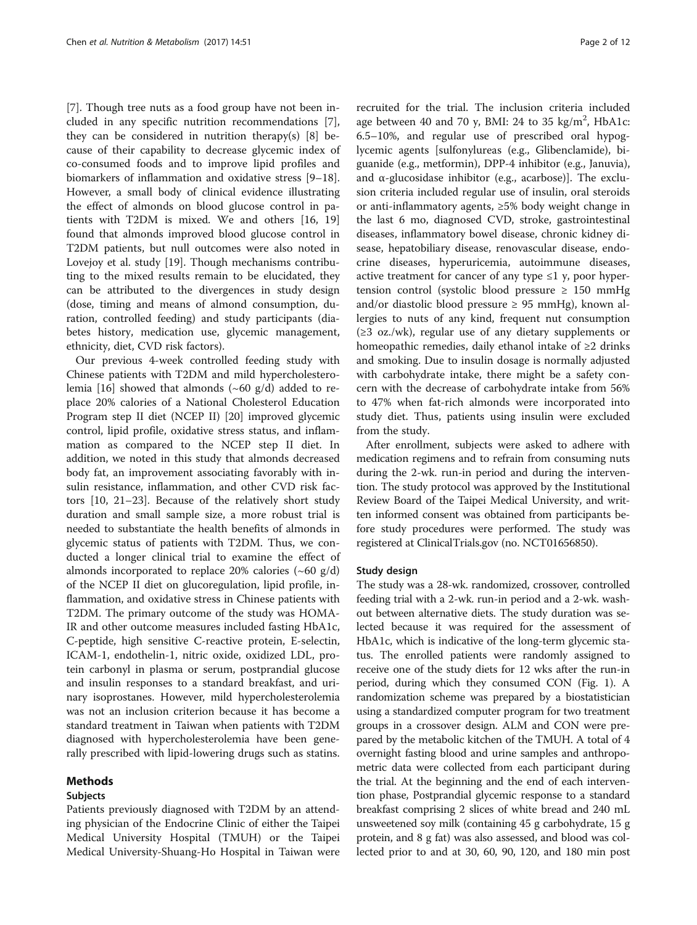[[7\]](#page-10-0). Though tree nuts as a food group have not been included in any specific nutrition recommendations [\[7](#page-10-0)], they can be considered in nutrition therapy(s)  $[8]$  $[8]$  because of their capability to decrease glycemic index of co-consumed foods and to improve lipid profiles and biomarkers of inflammation and oxidative stress [[9](#page-10-0)–[18](#page-10-0)]. However, a small body of clinical evidence illustrating the effect of almonds on blood glucose control in patients with T2DM is mixed. We and others [\[16, 19](#page-10-0)] found that almonds improved blood glucose control in T2DM patients, but null outcomes were also noted in Lovejoy et al. study [[19\]](#page-10-0). Though mechanisms contributing to the mixed results remain to be elucidated, they can be attributed to the divergences in study design (dose, timing and means of almond consumption, duration, controlled feeding) and study participants (diabetes history, medication use, glycemic management, ethnicity, diet, CVD risk factors).

Our previous 4-week controlled feeding study with Chinese patients with T2DM and mild hypercholestero-lemia [[16\]](#page-10-0) showed that almonds  $({\sim}60 \text{ g/d})$  added to replace 20% calories of a National Cholesterol Education Program step II diet (NCEP II) [\[20](#page-10-0)] improved glycemic control, lipid profile, oxidative stress status, and inflammation as compared to the NCEP step II diet. In addition, we noted in this study that almonds decreased body fat, an improvement associating favorably with insulin resistance, inflammation, and other CVD risk factors [[10](#page-10-0), [21](#page-10-0)–[23\]](#page-10-0). Because of the relatively short study duration and small sample size, a more robust trial is needed to substantiate the health benefits of almonds in glycemic status of patients with T2DM. Thus, we conducted a longer clinical trial to examine the effect of almonds incorporated to replace 20% calories  $({\sim}60 \text{ g/d})$ of the NCEP II diet on glucoregulation, lipid profile, inflammation, and oxidative stress in Chinese patients with T2DM. The primary outcome of the study was HOMA-IR and other outcome measures included fasting HbA1c, C-peptide, high sensitive C-reactive protein, E-selectin, ICAM-1, endothelin-1, nitric oxide, oxidized LDL, protein carbonyl in plasma or serum, postprandial glucose and insulin responses to a standard breakfast, and urinary isoprostanes. However, mild hypercholesterolemia was not an inclusion criterion because it has become a standard treatment in Taiwan when patients with T2DM diagnosed with hypercholesterolemia have been generally prescribed with lipid-lowering drugs such as statins.

## Methods

#### Subjects

Patients previously diagnosed with T2DM by an attending physician of the Endocrine Clinic of either the Taipei Medical University Hospital (TMUH) or the Taipei Medical University-Shuang-Ho Hospital in Taiwan were

recruited for the trial. The inclusion criteria included age between 40 and 70 y, BMI: 24 to 35  $\text{kg/m}^2$ , HbA1c: 6.5–10%, and regular use of prescribed oral hypoglycemic agents [sulfonylureas (e.g., Glibenclamide), biguanide (e.g., metformin), DPP-4 inhibitor (e.g., Januvia), and  $\alpha$ -glucosidase inhibitor (e.g., acarbose)]. The exclusion criteria included regular use of insulin, oral steroids or anti-inflammatory agents, ≥5% body weight change in the last 6 mo, diagnosed CVD, stroke, gastrointestinal diseases, inflammatory bowel disease, chronic kidney disease, hepatobiliary disease, renovascular disease, endocrine diseases, hyperuricemia, autoimmune diseases, active treatment for cancer of any type  $\leq 1$  y, poor hypertension control (systolic blood pressure  $\geq$  150 mmHg and/or diastolic blood pressure  $\geq$  95 mmHg), known allergies to nuts of any kind, frequent nut consumption (≥3 oz./wk), regular use of any dietary supplements or homeopathic remedies, daily ethanol intake of ≥2 drinks and smoking. Due to insulin dosage is normally adjusted with carbohydrate intake, there might be a safety concern with the decrease of carbohydrate intake from 56% to 47% when fat-rich almonds were incorporated into study diet. Thus, patients using insulin were excluded from the study.

After enrollment, subjects were asked to adhere with medication regimens and to refrain from consuming nuts during the 2-wk. run-in period and during the intervention. The study protocol was approved by the Institutional Review Board of the Taipei Medical University, and written informed consent was obtained from participants before study procedures were performed. The study was registered at [ClinicalTrials.gov](http://clinicaltrials.gov) (no. NCT01656850).

## Study design

The study was a 28-wk. randomized, crossover, controlled feeding trial with a 2-wk. run-in period and a 2-wk. washout between alternative diets. The study duration was selected because it was required for the assessment of HbA1c, which is indicative of the long-term glycemic status. The enrolled patients were randomly assigned to receive one of the study diets for 12 wks after the run-in period, during which they consumed CON (Fig. [1](#page-2-0)). A randomization scheme was prepared by a biostatistician using a standardized computer program for two treatment groups in a crossover design. ALM and CON were prepared by the metabolic kitchen of the TMUH. A total of 4 overnight fasting blood and urine samples and anthropometric data were collected from each participant during the trial. At the beginning and the end of each intervention phase, Postprandial glycemic response to a standard breakfast comprising 2 slices of white bread and 240 mL unsweetened soy milk (containing 45 g carbohydrate, 15 g protein, and 8 g fat) was also assessed, and blood was collected prior to and at 30, 60, 90, 120, and 180 min post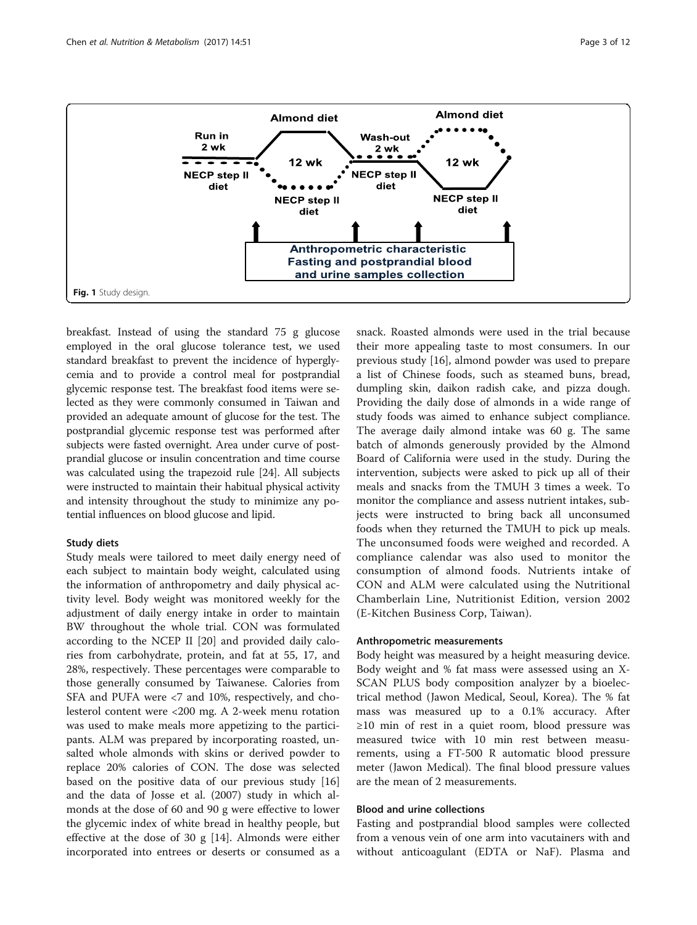<span id="page-2-0"></span>

breakfast. Instead of using the standard 75 g glucose employed in the oral glucose tolerance test, we used standard breakfast to prevent the incidence of hyperglycemia and to provide a control meal for postprandial glycemic response test. The breakfast food items were selected as they were commonly consumed in Taiwan and provided an adequate amount of glucose for the test. The postprandial glycemic response test was performed after subjects were fasted overnight. Area under curve of postprandial glucose or insulin concentration and time course was calculated using the trapezoid rule [\[24\]](#page-10-0). All subjects were instructed to maintain their habitual physical activity and intensity throughout the study to minimize any potential influences on blood glucose and lipid.

#### Study diets

Study meals were tailored to meet daily energy need of each subject to maintain body weight, calculated using the information of anthropometry and daily physical activity level. Body weight was monitored weekly for the adjustment of daily energy intake in order to maintain BW throughout the whole trial. CON was formulated according to the NCEP II [[20\]](#page-10-0) and provided daily calories from carbohydrate, protein, and fat at 55, 17, and 28%, respectively. These percentages were comparable to those generally consumed by Taiwanese. Calories from SFA and PUFA were <7 and 10%, respectively, and cholesterol content were <200 mg. A 2-week menu rotation was used to make meals more appetizing to the participants. ALM was prepared by incorporating roasted, unsalted whole almonds with skins or derived powder to replace 20% calories of CON. The dose was selected based on the positive data of our previous study [[16](#page-10-0)] and the data of Josse et al. (2007) study in which almonds at the dose of 60 and 90 g were effective to lower the glycemic index of white bread in healthy people, but effective at the dose of 30 g [\[14](#page-10-0)]. Almonds were either incorporated into entrees or deserts or consumed as a

snack. Roasted almonds were used in the trial because their more appealing taste to most consumers. In our previous study [[16](#page-10-0)], almond powder was used to prepare a list of Chinese foods, such as steamed buns, bread, dumpling skin, daikon radish cake, and pizza dough. Providing the daily dose of almonds in a wide range of study foods was aimed to enhance subject compliance. The average daily almond intake was 60 g. The same batch of almonds generously provided by the Almond Board of California were used in the study. During the intervention, subjects were asked to pick up all of their meals and snacks from the TMUH 3 times a week. To monitor the compliance and assess nutrient intakes, subjects were instructed to bring back all unconsumed foods when they returned the TMUH to pick up meals. The unconsumed foods were weighed and recorded. A compliance calendar was also used to monitor the consumption of almond foods. Nutrients intake of CON and ALM were calculated using the Nutritional Chamberlain Line, Nutritionist Edition, version 2002 (E-Kitchen Business Corp, Taiwan).

## Anthropometric measurements

Body height was measured by a height measuring device. Body weight and % fat mass were assessed using an X-SCAN PLUS body composition analyzer by a bioelectrical method (Jawon Medical, Seoul, Korea). The % fat mass was measured up to a 0.1% accuracy. After ≥10 min of rest in a quiet room, blood pressure was measured twice with 10 min rest between measurements, using a FT-500 R automatic blood pressure meter (Jawon Medical). The final blood pressure values are the mean of 2 measurements.

## Blood and urine collections

Fasting and postprandial blood samples were collected from a venous vein of one arm into vacutainers with and without anticoagulant (EDTA or NaF). Plasma and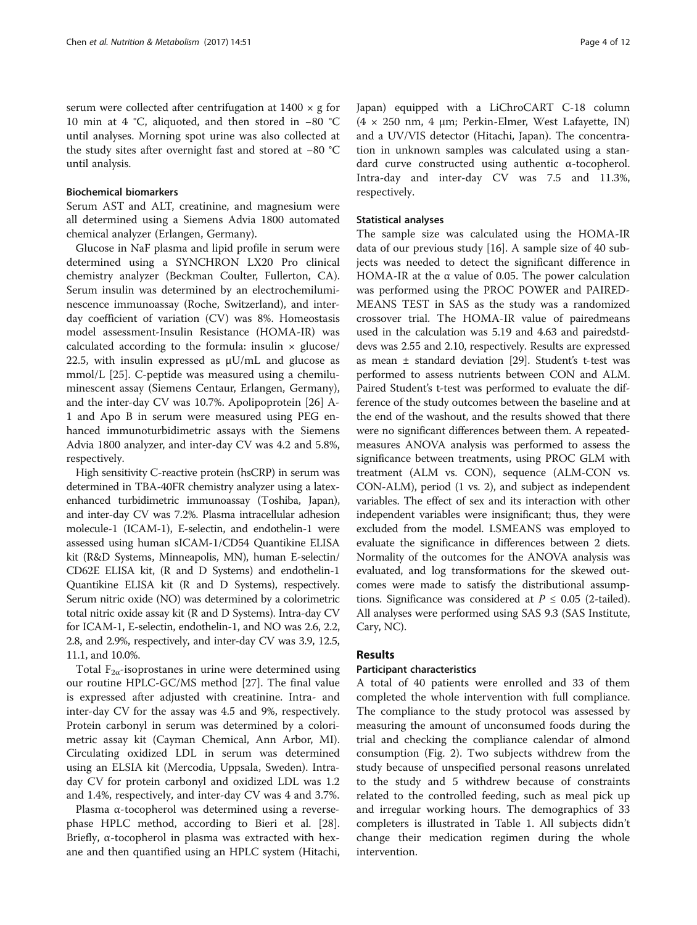serum were collected after centrifugation at  $1400 \times g$  for 10 min at 4 °C, aliquoted, and then stored in −80 °C until analyses. Morning spot urine was also collected at the study sites after overnight fast and stored at −80 °C until analysis.

## Biochemical biomarkers

Serum AST and ALT, creatinine, and magnesium were all determined using a Siemens Advia 1800 automated chemical analyzer (Erlangen, Germany).

Glucose in NaF plasma and lipid profile in serum were determined using a SYNCHRON LX20 Pro clinical chemistry analyzer (Beckman Coulter, Fullerton, CA). Serum insulin was determined by an [electrochemilumi](https://www.google.com.tw/url?sa=t&rct=j&q=&esrc=s&source=web&cd=1&cad=rja&uact=8&ved=0ahUKEwj3nofk6cnLAhWJkZQKHUZ4DhkQFggaMAA&url=http%3A%2F%2Fwww.cobas.com%2Fcontent%2Fdam%2Fcobas_com%2Fpdf%2Fproduct%2FElecsys%2520Calcitonin%2FElecsys%2520Calcitinin%2520Fact%2520Sheet.pdf&usg=AFQjCNENZAYYYBGXuU4aJ4fNvYCTLXlI6A)[nescence immunoassay](https://www.google.com.tw/url?sa=t&rct=j&q=&esrc=s&source=web&cd=1&cad=rja&uact=8&ved=0ahUKEwj3nofk6cnLAhWJkZQKHUZ4DhkQFggaMAA&url=http%3A%2F%2Fwww.cobas.com%2Fcontent%2Fdam%2Fcobas_com%2Fpdf%2Fproduct%2FElecsys%2520Calcitonin%2FElecsys%2520Calcitinin%2520Fact%2520Sheet.pdf&usg=AFQjCNENZAYYYBGXuU4aJ4fNvYCTLXlI6A) (Roche, Switzerland), and interday coefficient of variation (CV) was 8%. Homeostasis model assessment-Insulin Resistance (HOMA-IR) was calculated according to the formula: insulin  $\times$  glucose/ 22.5, with insulin expressed as  $\mu$ U/mL and glucose as mmol/L [[25](#page-10-0)]. C-peptide was measured using a chemiluminescent assay (Siemens Centaur, Erlangen, Germany), and the inter-day CV was 10.7%. Apolipoprotein [[26\]](#page-10-0) A-1 and Apo B in serum were measured using PEG enhanced immunoturbidimetric assays with the Siemens Advia 1800 analyzer, and inter-day CV was 4.2 and 5.8%, respectively.

High sensitivity C-reactive protein (hsCRP) in serum was determined in TBA-40FR chemistry analyzer using a latexenhanced turbidimetric immunoassay (Toshiba, Japan), and inter-day CV was 7.2%. Plasma intracellular adhesion molecule-1 (ICAM-1), E-selectin, and endothelin-1 were assessed using human sICAM-1/CD54 Quantikine ELISA kit (R&D Systems, Minneapolis, MN), human E-selectin/ CD62E ELISA kit, (R and D Systems) and endothelin-1 Quantikine ELISA kit (R and D Systems), respectively. Serum nitric oxide (NO) was determined by a colorimetric total nitric oxide assay kit (R and D Systems). Intra-day CV for ICAM-1, E-selectin, endothelin-1, and NO was 2.6, 2.2, 2.8, and 2.9%, respectively, and inter-day CV was 3.9, 12.5, 11.1, and 10.0%.

Total  $F_{2\alpha}$ -isoprostanes in urine were determined using our routine HPLC-GC/MS method [[27\]](#page-10-0). The final value is expressed after adjusted with creatinine. Intra- and inter-day CV for the assay was 4.5 and 9%, respectively. Protein carbonyl in serum was determined by a colorimetric assay kit (Cayman Chemical, Ann Arbor, MI). Circulating oxidized LDL in serum was determined using an ELSIA kit (Mercodia, Uppsala, Sweden). Intraday CV for protein carbonyl and oxidized LDL was 1.2 and 1.4%, respectively, and inter-day CV was 4 and 3.7%.

Plasma α-tocopherol was determined using a reversephase HPLC method, according to Bieri et al. [\[28](#page-10-0)]. Briefly, α-tocopherol in plasma was extracted with hexane and then quantified using an HPLC system (Hitachi, Japan) equipped with a LiChroCART C-18 column (4 × 250 nm, 4 μm; Perkin-Elmer, West Lafayette, IN) and a UV/VIS detector (Hitachi, Japan). The concentration in unknown samples was calculated using a standard curve constructed using authentic α-tocopherol. Intra-day and inter-day CV was 7.5 and 11.3%, respectively.

## Statistical analyses

The sample size was calculated using the HOMA-IR data of our previous study [[16\]](#page-10-0). A sample size of 40 subjects was needed to detect the significant difference in HOMA-IR at the α value of 0.05. The power calculation was performed using the PROC POWER and PAIRED-MEANS TEST in SAS as the study was a randomized crossover trial. The HOMA-IR value of pairedmeans used in the calculation was 5.19 and 4.63 and pairedstddevs was 2.55 and 2.10, respectively. Results are expressed as mean ± standard deviation [\[29\]](#page-10-0). Student's t-test was performed to assess nutrients between CON and ALM. Paired Student's t-test was performed to evaluate the difference of the study outcomes between the baseline and at the end of the washout, and the results showed that there were no significant differences between them. A repeatedmeasures ANOVA analysis was performed to assess the significance between treatments, using PROC GLM with treatment (ALM vs. CON), sequence (ALM-CON vs. CON-ALM), period (1 vs. 2), and subject as independent variables. The effect of sex and its interaction with other independent variables were insignificant; thus, they were excluded from the model. LSMEANS was employed to evaluate the significance in differences between 2 diets. Normality of the outcomes for the ANOVA analysis was evaluated, and log transformations for the skewed outcomes were made to satisfy the distributional assumptions. Significance was considered at  $P \le 0.05$  (2-tailed). All analyses were performed using SAS 9.3 (SAS Institute, Cary, NC).

## Results

## Participant characteristics

A total of 40 patients were enrolled and 33 of them completed the whole intervention with full compliance. The compliance to the study protocol was assessed by measuring the amount of unconsumed foods during the trial and checking the compliance calendar of almond consumption (Fig. [2\)](#page-4-0). Two subjects withdrew from the study because of unspecified personal reasons unrelated to the study and 5 withdrew because of constraints related to the controlled feeding, such as meal pick up and irregular working hours. The demographics of 33 completers is illustrated in Table [1.](#page-4-0) All subjects didn't change their medication regimen during the whole intervention.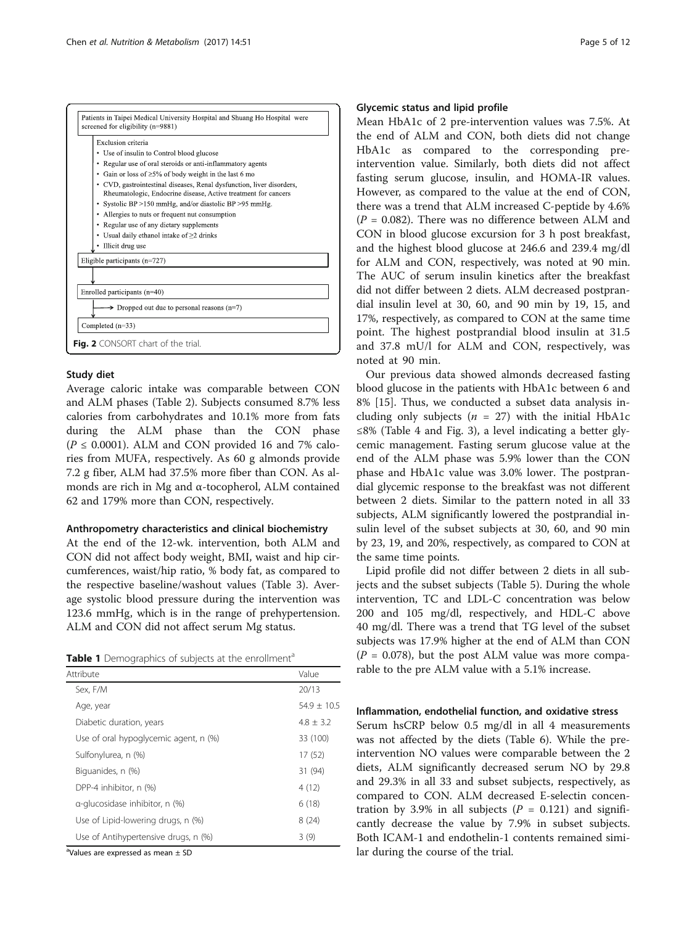<span id="page-4-0"></span>

## Study diet

Average caloric intake was comparable between CON and ALM phases (Table [2](#page-5-0)). Subjects consumed 8.7% less calories from carbohydrates and 10.1% more from fats during the ALM phase than the CON phase  $(P \le 0.0001)$ . ALM and CON provided 16 and 7% calories from MUFA, respectively. As 60 g almonds provide 7.2 g fiber, ALM had 37.5% more fiber than CON. As almonds are rich in Mg and α-tocopherol, ALM contained 62 and 179% more than CON, respectively.

## Anthropometry characteristics and clinical biochemistry

At the end of the 12-wk. intervention, both ALM and CON did not affect body weight, BMI, waist and hip circumferences, waist/hip ratio, % body fat, as compared to the respective baseline/washout values (Table [3](#page-5-0)). Average systolic blood pressure during the intervention was 123.6 mmHg, which is in the range of prehypertension. ALM and CON did not affect serum Mg status.

Table 1 Demographics of subjects at the enrollment<sup>a</sup>

| Attribute                                 | Value         |
|-------------------------------------------|---------------|
| Sex, F/M                                  | 20/13         |
| Age, year                                 | $54.9 + 10.5$ |
| Diabetic duration, years                  | $4.8 \pm 3.2$ |
| Use of oral hypoglycemic agent, n (%)     | 33 (100)      |
| Sulfonylurea, n (%)                       | 17 (52)       |
| Biguanides, n (%)                         | 31 (94)       |
| DPP-4 inhibitor, n (%)                    | 4(12)         |
| $\alpha$ -glucosidase inhibitor, n $(\%)$ | 6(18)         |
| Use of Lipid-lowering drugs, n (%)        | 8(24)         |
| Use of Antihypertensive drugs, n (%)      | 3(9)          |

<sup>a</sup>Values are expressed as mean ± SD

## Glycemic status and lipid profile

Mean HbA1c of 2 pre-intervention values was 7.5%. At the end of ALM and CON, both diets did not change HbA1c as compared to the corresponding preintervention value. Similarly, both diets did not affect fasting serum glucose, insulin, and HOMA-IR values. However, as compared to the value at the end of CON, there was a trend that ALM increased C-peptide by 4.6%  $(P = 0.082)$ . There was no difference between ALM and CON in blood glucose excursion for 3 h post breakfast, and the highest blood glucose at 246.6 and 239.4 mg/dl for ALM and CON, respectively, was noted at 90 min. The AUC of serum insulin kinetics after the breakfast did not differ between 2 diets. ALM decreased postprandial insulin level at 30, 60, and 90 min by 19, 15, and 17%, respectively, as compared to CON at the same time point. The highest postprandial blood insulin at 31.5 and 37.8 mU/l for ALM and CON, respectively, was noted at 90 min.

Our previous data showed almonds decreased fasting blood glucose in the patients with HbA1c between 6 and 8% [[15\]](#page-10-0). Thus, we conducted a subset data analysis including only subjects ( $n = 27$ ) with the initial HbA1c ≤8% (Table [4](#page-6-0) and Fig. [3\)](#page-6-0), a level indicating a better glycemic management. Fasting serum glucose value at the end of the ALM phase was 5.9% lower than the CON phase and HbA1c value was 3.0% lower. The postprandial glycemic response to the breakfast was not different between 2 diets. Similar to the pattern noted in all 33 subjects, ALM significantly lowered the postprandial insulin level of the subset subjects at 30, 60, and 90 min by 23, 19, and 20%, respectively, as compared to CON at the same time points.

Lipid profile did not differ between 2 diets in all subjects and the subset subjects (Table [5](#page-7-0)). During the whole intervention, TC and LDL-C concentration was below 200 and 105 mg/dl, respectively, and HDL-C above 40 mg/dl. There was a trend that TG level of the subset subjects was 17.9% higher at the end of ALM than CON  $(P = 0.078)$ , but the post ALM value was more comparable to the pre ALM value with a 5.1% increase.

## Inflammation, endothelial function, and oxidative stress

Serum hsCRP below 0.5 mg/dl in all 4 measurements was not affected by the diets (Table [6](#page-8-0)). While the preintervention NO values were comparable between the 2 diets, ALM significantly decreased serum NO by 29.8 and 29.3% in all 33 and subset subjects, respectively, as compared to CON. ALM decreased E-selectin concentration by 3.9% in all subjects ( $P = 0.121$ ) and significantly decrease the value by 7.9% in subset subjects. Both ICAM-1 and endothelin-1 contents remained similar during the course of the trial.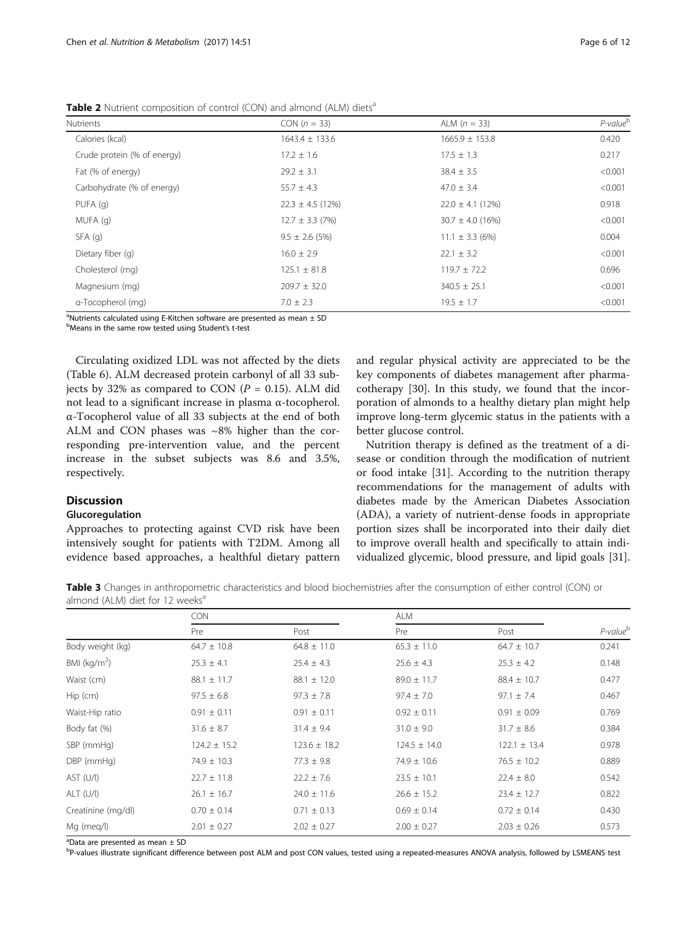<span id="page-5-0"></span>Table 2 Nutrient composition of control (CON) and almond (ALM) diets<sup>a</sup>

| <b>Nutrients</b>            | $CON (n = 33)$       | ALM $(n = 33)$       | $P$ -value $^{\rm b}$ |
|-----------------------------|----------------------|----------------------|-----------------------|
| Calories (kcal)             | $1643.4 \pm 133.6$   | $1665.9 \pm 153.8$   | 0.420                 |
| Crude protein (% of energy) | $17.2 \pm 1.6$       | $17.5 \pm 1.3$       | 0.217                 |
| Fat (% of energy)           | $29.2 \pm 3.1$       | $38.4 \pm 3.5$       | < 0.001               |
| Carbohydrate (% of energy)  | $55.7 \pm 4.3$       | $47.0 \pm 3.4$       | < 0.001               |
| PUFA(q)                     | $22.3 \pm 4.5$ (12%) | $22.0 \pm 4.1$ (12%) | 0.918                 |
| MUFA (q)                    | $12.7 \pm 3.3$ (7%)  | $30.7 \pm 4.0$ (16%) | < 0.001               |
| SFA(q)                      | $9.5 \pm 2.6$ (5%)   | $11.1 \pm 3.3$ (6%)  | 0.004                 |
| Dietary fiber (q)           | $16.0 \pm 2.9$       | $22.1 \pm 3.2$       | < 0.001               |
| Cholesterol (mg)            | $125.1 \pm 81.8$     | $119.7 \pm 72.2$     | 0.696                 |
| Magnesium (mg)              | $209.7 \pm 32.0$     | $340.5 \pm 25.1$     | < 0.001               |
| a-Tocopherol (mg)           | $7.0 \pm 2.3$        | $19.5 \pm 1.7$       | < 0.001               |
|                             |                      |                      |                       |

<sup>a</sup>Nutrients calculated using E-Kitchen software are presented as mean  $\pm$  SD

bMeans in the same row tested using Student's t-test

Circulating oxidized LDL was not affected by the diets (Table [6\)](#page-8-0). ALM decreased protein carbonyl of all 33 subjects by 32% as compared to CON ( $P = 0.15$ ). ALM did not lead to a significant increase in plasma α-tocopherol. α-Tocopherol value of all 33 subjects at the end of both ALM and CON phases was ~8% higher than the corresponding pre-intervention value, and the percent increase in the subset subjects was 8.6 and 3.5%, respectively.

## Discussion

#### Glucoregulation

Approaches to protecting against CVD risk have been intensively sought for patients with T2DM. Among all evidence based approaches, a healthful dietary pattern

and regular physical activity are appreciated to be the key components of diabetes management after pharmacotherapy [\[30](#page-10-0)]. In this study, we found that the incorporation of almonds to a healthy dietary plan might help improve long-term glycemic status in the patients with a better glucose control.

Nutrition therapy is defined as the treatment of a disease or condition through the modification of nutrient or food intake [\[31](#page-10-0)]. According to the nutrition therapy recommendations for the management of adults with diabetes made by the [American Diabetes Association](http://www.diabetes.org/) (ADA), a variety of nutrient-dense foods in appropriate portion sizes shall be incorporated into their daily diet to improve overall health and specifically to attain individualized glycemic, blood pressure, and lipid goals [\[31](#page-10-0)].

Table 3 Changes in anthropometric characteristics and blood biochemistries after the consumption of either control (CON) or almond (ALM) diet for 12 weeks $a$ 

|                    | <b>CON</b>       |                  | <b>ALM</b>       |                  |                      |
|--------------------|------------------|------------------|------------------|------------------|----------------------|
|                    | Pre              | Post             | Pre              | Post             | P-value <sup>b</sup> |
| Body weight (kg)   | $64.7 \pm 10.8$  | $64.8 \pm 11.0$  | $65.3 \pm 11.0$  | $64.7 \pm 10.7$  | 0.241                |
| BMI ( $kg/m2$ )    | $25.3 \pm 4.1$   | $25.4 \pm 4.3$   | $25.6 \pm 4.3$   | $25.3 \pm 4.2$   | 0.148                |
| Waist (cm)         | $88.1 \pm 11.7$  | $88.1 \pm 12.0$  | $89.0 \pm 11.7$  | $88.4 \pm 10.7$  | 0.477                |
| $Hip$ (cm)         | $97.5 \pm 6.8$   | $97.3 \pm 7.8$   | $97.4 \pm 7.0$   | $97.1 \pm 7.4$   | 0.467                |
| Waist-Hip ratio    | $0.91 \pm 0.11$  | $0.91 \pm 0.11$  | $0.92 \pm 0.11$  | $0.91 \pm 0.09$  | 0.769                |
| Body fat (%)       | $31.6 \pm 8.7$   | $31.4 \pm 9.4$   | $31.0 \pm 9.0$   | $31.7 \pm 8.6$   | 0.384                |
| SBP (mmHg)         | $124.2 \pm 15.2$ | $123.6 \pm 18.2$ | $124.5 \pm 14.0$ | $122.1 \pm 13.4$ | 0.978                |
| DBP (mmHg)         | $74.9 \pm 10.3$  | $77.3 \pm 9.8$   | $74.9 \pm 10.6$  | $76.5 \pm 10.2$  | 0.889                |
| AST (U/I)          | $22.7 \pm 11.8$  | $22.2 \pm 7.6$   | $23.5 \pm 10.1$  | $22.4 \pm 8.0$   | 0.542                |
| $ALT$ (U/I)        | $26.1 \pm 16.7$  | $24.0 \pm 11.6$  | $26.6 \pm 15.2$  | $23.4 \pm 12.7$  | 0.822                |
| Creatinine (mg/dl) | $0.70 \pm 0.14$  | $0.71 \pm 0.13$  | $0.69 \pm 0.14$  | $0.72 \pm 0.14$  | 0.430                |
| Mg (meg/l)         | $2.01 \pm 0.27$  | $2.02 \pm 0.27$  | $2.00 \pm 0.27$  | $2.03 \pm 0.26$  | 0.573                |

<sup>a</sup>Data are presented as mean ± SD

b<br>P-values illustrate significant difference between post ALM and post CON values, tested using a repeated-measures ANOVA analysis, followed by LSMEANS test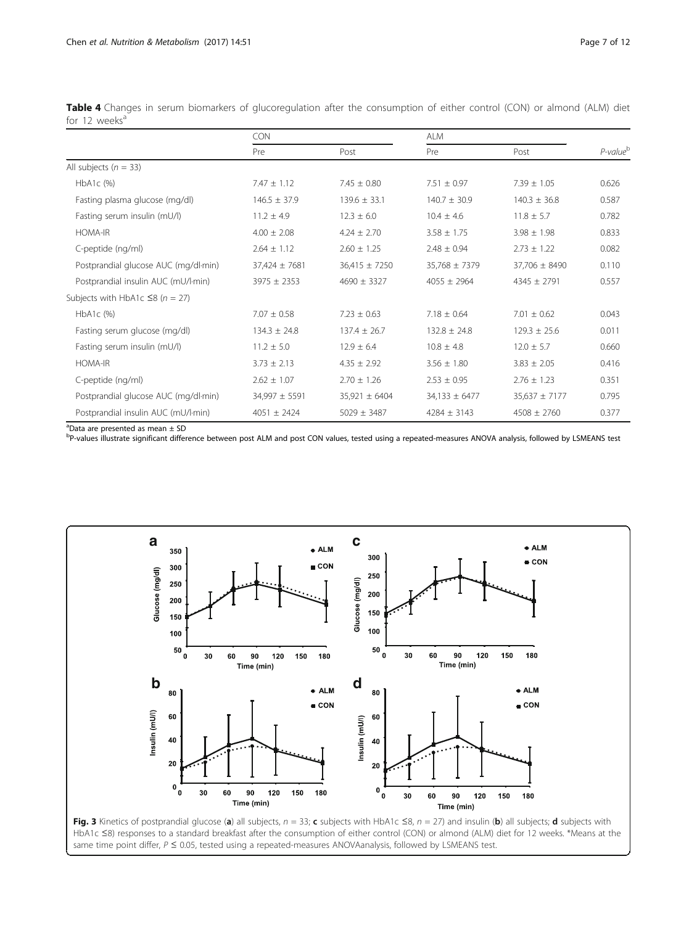|                                       | <b>CON</b><br><b>ALM</b> |                   |                   |                   |                       |
|---------------------------------------|--------------------------|-------------------|-------------------|-------------------|-----------------------|
|                                       | Pre                      | Post              | Pre               | Post              | $P$ -value $^{\rm b}$ |
| All subjects ( $n = 33$ )             |                          |                   |                   |                   |                       |
| $HbA1c$ (%)                           | $7.47 \pm 1.12$          | $7.45 \pm 0.80$   | $7.51 \pm 0.97$   | $7.39 \pm 1.05$   | 0.626                 |
| Fasting plasma glucose (mg/dl)        | $146.5 \pm 37.9$         | $139.6 \pm 33.1$  | $140.7 \pm 30.9$  | $140.3 \pm 36.8$  | 0.587                 |
| Fasting serum insulin (mU/l)          | $11.2 \pm 4.9$           | $12.3 \pm 6.0$    | $10.4 \pm 4.6$    | $11.8 \pm 5.7$    | 0.782                 |
| <b>HOMA-IR</b>                        | $4.00 \pm 2.08$          | $4.24 \pm 2.70$   | $3.58 \pm 1.75$   | $3.98 \pm 1.98$   | 0.833                 |
| C-peptide (ng/ml)                     | $2.64 \pm 1.12$          | $2.60 \pm 1.25$   | $2.48 \pm 0.94$   | $2.73 \pm 1.22$   | 0.082                 |
| Postprandial glucose AUC (mg/dl·min)  | 37,424 ± 7681            | $36,415 \pm 7250$ | $35,768 \pm 7379$ | $37,706 \pm 8490$ | 0.110                 |
| Postprandial insulin AUC (mU/l-min)   | $3975 \pm 2353$          | $4690 \pm 3327$   | $4055 \pm 2964$   | $4345 \pm 2791$   | 0.557                 |
| Subjects with HbA1c $\leq$ 8 (n = 27) |                          |                   |                   |                   |                       |
| HbA1c (%)                             | $7.07 \pm 0.58$          | $7.23 \pm 0.63$   | $7.18 \pm 0.64$   | $7.01 \pm 0.62$   | 0.043                 |
| Fasting serum glucose (mg/dl)         | $134.3 \pm 24.8$         | $137.4 \pm 26.7$  | $132.8 \pm 24.8$  | $129.3 \pm 25.6$  | 0.011                 |
| Fasting serum insulin (mU/l)          | $11.2 \pm 5.0$           | $12.9 \pm 6.4$    | $10.8 \pm 4.8$    | $12.0 \pm 5.7$    | 0.660                 |
| <b>HOMA-IR</b>                        | $3.73 \pm 2.13$          | $4.35 \pm 2.92$   | $3.56 \pm 1.80$   | $3.83 \pm 2.05$   | 0.416                 |
| C-peptide (ng/ml)                     | $2.62 \pm 1.07$          | $2.70 \pm 1.26$   | $2.53 \pm 0.95$   | $2.76 \pm 1.23$   | 0.351                 |
| Postprandial glucose AUC (mg/dl·min)  | $34,997 \pm 5591$        | $35,921 \pm 6404$ | $34,133 \pm 6477$ | $35,637 \pm 7177$ | 0.795                 |
| Postprandial insulin AUC (mU/l-min)   | $4051 \pm 2424$          | $5029 \pm 3487$   | $4284 \pm 3143$   | $4508 \pm 2760$   | 0.377                 |

<span id="page-6-0"></span>Table 4 Changes in serum biomarkers of glucoregulation after the consumption of either control (CON) or almond (ALM) diet for 12 weeks $a$ 

a Data are presented as mean ± SD

b<br>P-values illustrate significant difference between post ALM and post CON values, tested using a repeated-measures ANOVA analysis, followed by LSMEANS test



HbA1c ≤8) responses to a standard breakfast after the consumption of either control (CON) or almond (ALM) diet for 12 weeks. \*Means at the same time point differ,  $P \le 0.05$ , tested using a repeated-measures ANOVAanalysis, followed by LSMEANS test.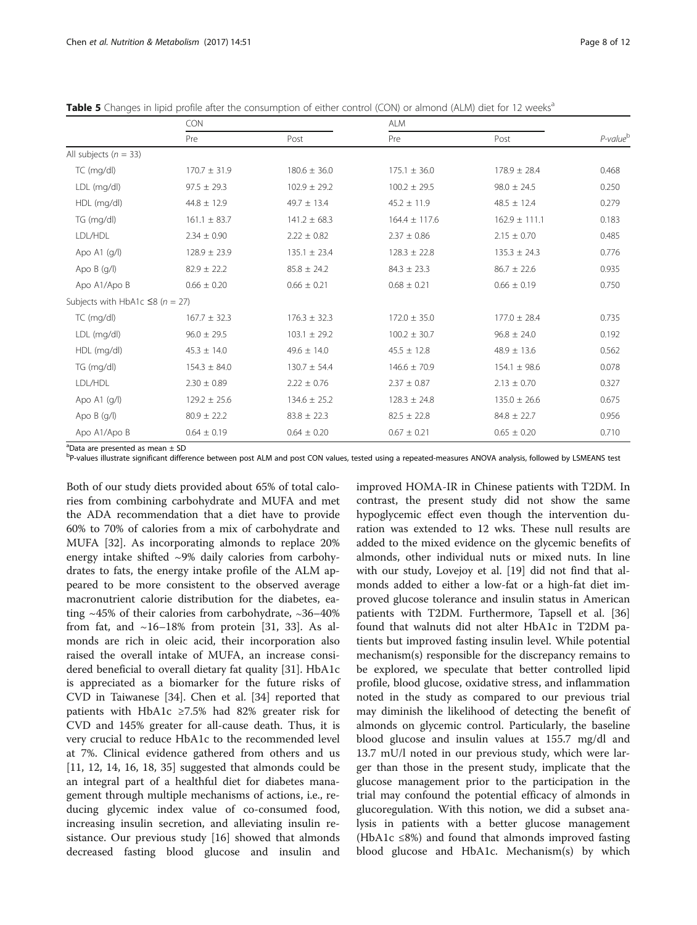<span id="page-7-0"></span>

| Table 5 Changes in lipid profile after the consumption of either control (CON) or almond (ALM) diet for 12 weeks <sup>a</sup> |  |  |  |  |  |  |  |  |  |  |
|-------------------------------------------------------------------------------------------------------------------------------|--|--|--|--|--|--|--|--|--|--|
|-------------------------------------------------------------------------------------------------------------------------------|--|--|--|--|--|--|--|--|--|--|

|                                       | CON              |                  | <b>ALM</b>        |                   |                      |
|---------------------------------------|------------------|------------------|-------------------|-------------------|----------------------|
|                                       | Pre              | Post             | Pre               | Post              | P-value <sup>b</sup> |
| All subjects ( $n = 33$ )             |                  |                  |                   |                   |                      |
| TC (mg/dl)                            | $170.7 \pm 31.9$ | $180.6 \pm 36.0$ | $175.1 \pm 36.0$  | $178.9 \pm 28.4$  | 0.468                |
| LDL (mg/dl)                           | $97.5 \pm 29.3$  | $102.9 \pm 29.2$ | $100.2 \pm 29.5$  | $98.0 \pm 24.5$   | 0.250                |
| HDL (mg/dl)                           | $44.8 \pm 12.9$  | $49.7 \pm 13.4$  | $45.2 \pm 11.9$   | $48.5 \pm 12.4$   | 0.279                |
| TG (mg/dl)                            | $161.1 \pm 83.7$ | $141.2 \pm 68.3$ | $164.4 \pm 117.6$ | $162.9 \pm 111.1$ | 0.183                |
| LDL/HDL                               | $2.34 \pm 0.90$  | $2.22 \pm 0.82$  | $2.37 \pm 0.86$   | $2.15 \pm 0.70$   | 0.485                |
| Apo A1 (g/l)                          | $128.9 \pm 23.9$ | $135.1 \pm 23.4$ | $128.3 \pm 22.8$  | $135.3 \pm 24.3$  | 0.776                |
| Apo B (g/l)                           | $82.9 \pm 22.2$  | $85.8 \pm 24.2$  | $84.3 \pm 23.3$   | $86.7 \pm 22.6$   | 0.935                |
| Apo A1/Apo B                          | $0.66 \pm 0.20$  | $0.66 \pm 0.21$  | $0.68 \pm 0.21$   | $0.66 \pm 0.19$   | 0.750                |
| Subjects with HbA1c $\leq$ 8 (n = 27) |                  |                  |                   |                   |                      |
| TC (mg/dl)                            | $167.7 \pm 32.3$ | $176.3 \pm 32.3$ | $172.0 \pm 35.0$  | $177.0 \pm 28.4$  | 0.735                |
| LDL (mg/dl)                           | $96.0 \pm 29.5$  | $103.1 \pm 29.2$ | $100.2 \pm 30.7$  | $96.8 \pm 24.0$   | 0.192                |
| HDL (mg/dl)                           | $45.3 \pm 14.0$  | $49.6 \pm 14.0$  | $45.5 \pm 12.8$   | $48.9 \pm 13.6$   | 0.562                |
| TG (mg/dl)                            | $154.3 \pm 84.0$ | $130.7 \pm 54.4$ | $146.6 \pm 70.9$  | $154.1 \pm 98.6$  | 0.078                |
| LDL/HDL                               | $2.30 \pm 0.89$  | $2.22 \pm 0.76$  | $2.37 \pm 0.87$   | $2.13 \pm 0.70$   | 0.327                |
| Apo A1 (g/l)                          | $129.2 \pm 25.6$ | $134.6 \pm 25.2$ | $128.3 \pm 24.8$  | $135.0 \pm 26.6$  | 0.675                |
| Apo B (g/l)                           | $80.9 \pm 22.2$  | $83.8 \pm 22.3$  | $82.5 \pm 22.8$   | $84.8 \pm 22.7$   | 0.956                |
| Apo A1/Apo B                          | $0.64 \pm 0.19$  | $0.64 \pm 0.20$  | $0.67 \pm 0.21$   | $0.65 \pm 0.20$   | 0.710                |

a Data are presented as mean ± SD

b<br>P-values illustrate significant difference between post ALM and post CON values, tested using a repeated-measures ANOVA analysis, followed by LSMEANS test

Both of our study diets provided about 65% of total calories from combining carbohydrate and MUFA and met the ADA recommendation that a diet have to provide 60% to 70% of calories from a mix of carbohydrate and MUFA [\[32](#page-11-0)]. As incorporating almonds to replace 20% energy intake shifted ~9% daily calories from carbohydrates to fats, the energy intake profile of the ALM appeared to be more consistent to the observed average macronutrient calorie distribution for the diabetes, eating ~45% of their calories from carbohydrate, ∼36–40% from fat, and  $~16-18\%$  from protein [\[31](#page-10-0), [33](#page-11-0)]. As almonds are rich in oleic acid, their incorporation also raised the overall intake of MUFA, an increase considered beneficial to overall dietary fat quality [\[31](#page-10-0)]. HbA1c is appreciated as a biomarker for the future risks of CVD in Taiwanese [[34](#page-11-0)]. Chen et al. [[34\]](#page-11-0) reported that patients with HbA1c ≥7.5% had 82% greater risk for CVD and 145% greater for all-cause death. Thus, it is very crucial to reduce HbA1c to the recommended level at 7%. Clinical evidence gathered from others and us [[11, 12](#page-10-0), [14, 16](#page-10-0), [18,](#page-10-0) [35](#page-11-0)] suggested that almonds could be an integral part of a healthful diet for diabetes management through multiple mechanisms of actions, i.e., reducing glycemic index value of co-consumed food, increasing insulin secretion, and alleviating insulin resistance. Our previous study [[16\]](#page-10-0) showed that almonds decreased fasting blood glucose and insulin and

improved HOMA-IR in Chinese patients with T2DM. In contrast, the present study did not show the same hypoglycemic effect even though the intervention duration was extended to 12 wks. These null results are added to the mixed evidence on the glycemic benefits of almonds, other individual nuts or mixed nuts. In line with our study, Lovejoy et al. [\[19\]](#page-10-0) did not find that almonds added to either a low-fat or a high-fat diet improved glucose tolerance and insulin status in American patients with T2DM. Furthermore, Tapsell et al. [[36](#page-11-0)] found that walnuts did not alter HbA1c in T2DM patients but improved fasting insulin level. While potential mechanism(s) responsible for the discrepancy remains to be explored, we speculate that better controlled lipid profile, blood glucose, oxidative stress, and inflammation noted in the study as compared to our previous trial may diminish the likelihood of detecting the benefit of almonds on glycemic control. Particularly, the baseline blood glucose and insulin values at 155.7 mg/dl and 13.7 mU/l noted in our previous study, which were larger than those in the present study, implicate that the glucose management prior to the participation in the trial may confound the potential efficacy of almonds in glucoregulation. With this notion, we did a subset analysis in patients with a better glucose management (HbA1c ≤8%) and found that almonds improved fasting blood glucose and HbA1c. Mechanism(s) by which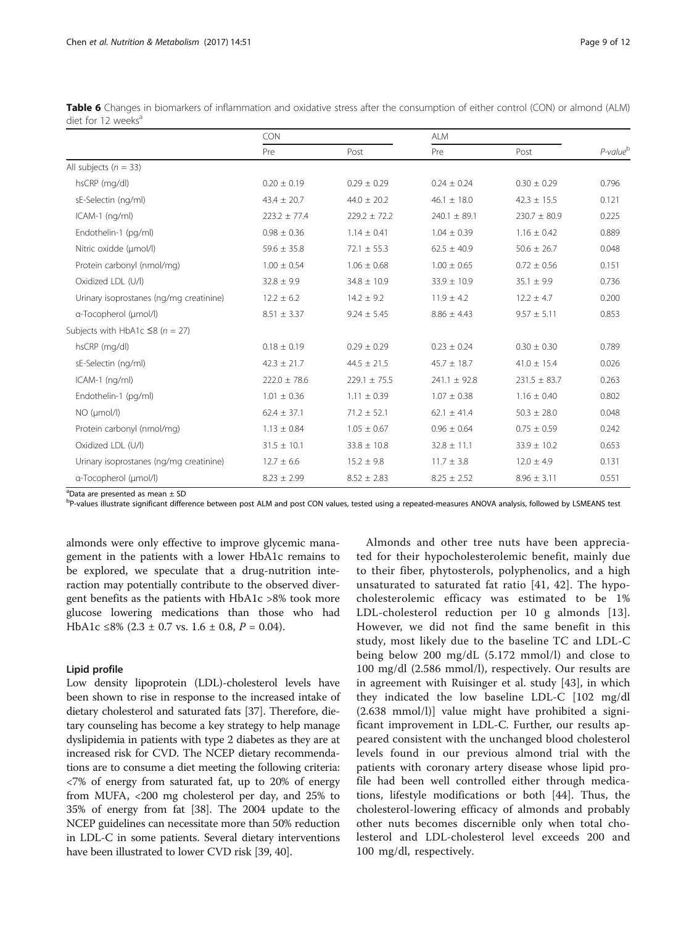|                                         | <b>CON</b>       |                  | <b>ALM</b>       |                  |                      |
|-----------------------------------------|------------------|------------------|------------------|------------------|----------------------|
|                                         | Pre              | Post             | Pre              | Post             | P-value <sup>b</sup> |
| All subjects ( $n = 33$ )               |                  |                  |                  |                  |                      |
| hsCRP (mg/dl)                           | $0.20 \pm 0.19$  | $0.29 \pm 0.29$  | $0.24 \pm 0.24$  | $0.30 \pm 0.29$  | 0.796                |
| sE-Selectin (ng/ml)                     | $43.4 \pm 20.7$  | $44.0 \pm 20.2$  | $46.1 \pm 18.0$  | $42.3 \pm 15.5$  | 0.121                |
| $ICAM-1$ (ng/ml)                        | $223.2 \pm 77.4$ | $229.2 \pm 72.2$ | $240.1 \pm 89.1$ | $230.7 \pm 80.9$ | 0.225                |
| Endothelin-1 (pg/ml)                    | $0.98 \pm 0.36$  | $1.14 \pm 0.41$  | $1.04 \pm 0.39$  | $1.16 \pm 0.42$  | 0.889                |
| Nitric oxidde (umol/l)                  | $59.6 \pm 35.8$  | $72.1 \pm 55.3$  | $62.5 \pm 40.9$  | $50.6 \pm 26.7$  | 0.048                |
| Protein carbonyl (nmol/mg)              | $1.00 \pm 0.54$  | $1.06 \pm 0.68$  | $1.00 \pm 0.65$  | $0.72 \pm 0.56$  | 0.151                |
| Oxidized LDL (U/l)                      | $32.8 \pm 9.9$   | $34.8 \pm 10.9$  | $33.9 \pm 10.9$  | $35.1 \pm 9.9$   | 0.736                |
| Urinary isoprostanes (ng/mg creatinine) | $12.2 \pm 6.2$   | $14.2 \pm 9.2$   | $11.9 \pm 4.2$   | $12.2 \pm 4.7$   | 0.200                |
| a-Tocopherol (µmol/l)                   | $8.51 \pm 3.37$  | $9.24 \pm 5.45$  | $8.86 \pm 4.43$  | $9.57 \pm 5.11$  | 0.853                |
| Subjects with HbA1c $\leq$ 8 (n = 27)   |                  |                  |                  |                  |                      |
| hsCRP (mg/dl)                           | $0.18 \pm 0.19$  | $0.29 \pm 0.29$  | $0.23 \pm 0.24$  | $0.30 \pm 0.30$  | 0.789                |
| sE-Selectin (ng/ml)                     | $42.3 \pm 21.7$  | $44.5 \pm 21.5$  | $45.7 \pm 18.7$  | $41.0 \pm 15.4$  | 0.026                |
| $ICAM-1$ (ng/ml)                        | $222.0 \pm 78.6$ | $229.1 \pm 75.5$ | $241.1 \pm 92.8$ | $231.5 \pm 83.7$ | 0.263                |
| Endothelin-1 (pg/ml)                    | $1.01 \pm 0.36$  | $1.11 \pm 0.39$  | $1.07 \pm 0.38$  | $1.16 \pm 0.40$  | 0.802                |
| $NO$ ( $µmol/l$ )                       | $62.4 \pm 37.1$  | $71.2 \pm 52.1$  | $62.1 \pm 41.4$  | $50.3 \pm 28.0$  | 0.048                |
| Protein carbonyl (nmol/mg)              | $1.13 \pm 0.84$  | $1.05 \pm 0.67$  | $0.96 \pm 0.64$  | $0.75 \pm 0.59$  | 0.242                |
| Oxidized LDL (U/l)                      | $31.5 \pm 10.1$  | $33.8 \pm 10.8$  | $32.8 \pm 11.1$  | $33.9 \pm 10.2$  | 0.653                |
| Urinary isoprostanes (ng/mg creatinine) | $12.7 \pm 6.6$   | $15.2 \pm 9.8$   | $11.7 \pm 3.8$   | $12.0 \pm 4.9$   | 0.131                |
| a-Tocopherol (µmol/l)                   | $8.23 \pm 2.99$  | $8.52 \pm 2.83$  | $8.25 \pm 2.52$  | $8.96 \pm 3.11$  | 0.551                |

<span id="page-8-0"></span>Table 6 Changes in biomarkers of inflammation and oxidative stress after the consumption of either control (CON) or almond (ALM) diet for 12 weeks<sup>a</sup>

<sup>a</sup>Data are presented as mean ± SD

b<br>P-values illustrate significant difference between post ALM and post CON values, tested using a repeated-measures ANOVA analysis, followed by LSMEANS test

almonds were only effective to improve glycemic management in the patients with a lower HbA1c remains to be explored, we speculate that a drug-nutrition interaction may potentially contribute to the observed divergent benefits as the patients with HbA1c >8% took more glucose lowering medications than those who had HbA1c ≤8% (2.3 ± 0.7 vs. 1.6 ± 0.8,  $P = 0.04$ ).

## Lipid profile

Low density lipoprotein (LDL)-cholesterol levels have been shown to rise in response to the increased intake of dietary cholesterol and saturated fats [\[37\]](#page-11-0). Therefore, dietary counseling has become a key strategy to help manage dyslipidemia in patients with type 2 diabetes as they are at increased risk for CVD. The NCEP dietary recommendations are to consume a diet meeting the following criteria: <7% of energy from saturated fat, up to 20% of energy from MUFA, <200 mg cholesterol per day, and 25% to 35% of energy from fat [\[38\]](#page-11-0). The 2004 update to the NCEP guidelines can necessitate more than 50% reduction in LDL-C in some patients. Several dietary interventions have been illustrated to lower CVD risk [[39](#page-11-0), [40\]](#page-11-0).

Almonds and other tree nuts have been appreciated for their hypocholesterolemic benefit, mainly due to their fiber, phytosterols, polyphenolics, and a high unsaturated to saturated fat ratio [[41](#page-11-0), [42\]](#page-11-0). The hypocholesterolemic efficacy was estimated to be 1% LDL-cholesterol reduction per 10 g almonds [[13](#page-10-0)]. However, we did not find the same benefit in this study, most likely due to the baseline TC and LDL-C being below 200 mg/dL (5.172 mmol/l) and close to 100 mg/dl (2.586 mmol/l), respectively. Our results are in agreement with Ruisinger et al. study [[43\]](#page-11-0), in which they indicated the low baseline LDL-C [102 mg/dl (2.638 mmol/l)] value might have prohibited a significant improvement in LDL-C. Further, our results appeared consistent with the unchanged blood cholesterol levels found in our previous almond trial with the patients with coronary artery disease whose lipid profile had been well controlled either through medications, lifestyle modifications or both [[44](#page-11-0)]. Thus, the cholesterol-lowering efficacy of almonds and probably other nuts becomes discernible only when total cholesterol and LDL-cholesterol level exceeds 200 and 100 mg/dl, respectively.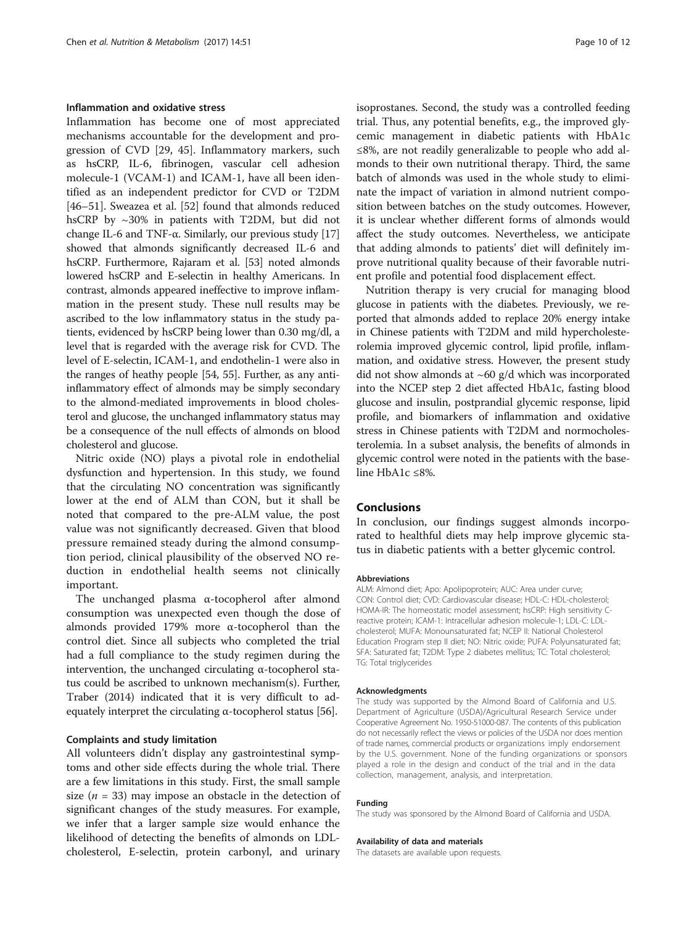## Inflammation and oxidative stress

Inflammation has become one of most appreciated mechanisms accountable for the development and progression of CVD [[29](#page-10-0), [45\]](#page-11-0). Inflammatory markers, such as hsCRP, IL-6, fibrinogen, vascular cell adhesion molecule-1 (VCAM-1) and ICAM-1, have all been identified as an independent predictor for CVD or T2DM [[46](#page-11-0)–[51](#page-11-0)]. Sweazea et al. [\[52](#page-11-0)] found that almonds reduced hsCRP by ~30% in patients with T2DM, but did not change IL-6 and TNF-α. Similarly, our previous study [[17](#page-10-0)] showed that almonds significantly decreased IL-6 and hsCRP. Furthermore, Rajaram et al. [\[53\]](#page-11-0) noted almonds lowered hsCRP and E-selectin in healthy Americans. In contrast, almonds appeared ineffective to improve inflammation in the present study. These null results may be ascribed to the low inflammatory status in the study patients, evidenced by hsCRP being lower than 0.30 mg/dl, a level that is regarded with the average risk for CVD. The level of E-selectin, ICAM-1, and endothelin-1 were also in the ranges of heathy people [\[54](#page-11-0), [55](#page-11-0)]. Further, as any antiinflammatory effect of almonds may be simply secondary to the almond-mediated improvements in blood cholesterol and glucose, the unchanged inflammatory status may be a consequence of the null effects of almonds on blood cholesterol and glucose.

Nitric oxide (NO) plays a pivotal role in endothelial dysfunction and hypertension. In this study, we found that the circulating NO concentration was significantly lower at the end of ALM than CON, but it shall be noted that compared to the pre-ALM value, the post value was not significantly decreased. Given that blood pressure remained steady during the almond consumption period, clinical plausibility of the observed NO reduction in endothelial health seems not clinically important.

The unchanged plasma α-tocopherol after almond consumption was unexpected even though the dose of almonds provided 179% more α-tocopherol than the control diet. Since all subjects who completed the trial had a full compliance to the study regimen during the intervention, the unchanged circulating α-tocopherol status could be ascribed to unknown mechanism(s). Further, [Traber](https://www.ncbi.nlm.nih.gov/pubmed/?term=Traber%20MG%5BAuthor%5D&cauthor=true&cauthor_uid=25469382) (2014) indicated that it is very difficult to adequately interpret the circulating  $\alpha$ -tocopherol status [[56](#page-11-0)].

## Complaints and study limitation

All volunteers didn't display any gastrointestinal symptoms and other side effects during the whole trial. There are a few limitations in this study. First, the small sample size ( $n = 33$ ) may impose an obstacle in the detection of significant changes of the study measures. For example, we infer that a larger sample size would enhance the likelihood of detecting the benefits of almonds on LDLcholesterol, E-selectin, protein carbonyl, and urinary

isoprostanes. Second, the study was a controlled feeding trial. Thus, any potential benefits, e.g., the improved glycemic management in diabetic patients with HbA1c ≤8%, are not readily generalizable to people who add almonds to their own nutritional therapy. Third, the same batch of almonds was used in the whole study to eliminate the impact of variation in almond nutrient composition between batches on the study outcomes. However, it is unclear whether different forms of almonds would affect the study outcomes. Nevertheless, we anticipate that adding almonds to patients' diet will definitely improve nutritional quality because of their favorable nutrient profile and potential food displacement effect.

Nutrition therapy is very crucial for managing blood glucose in patients with the diabetes. Previously, we reported that almonds added to replace 20% energy intake in Chinese patients with T2DM and mild hypercholesterolemia improved glycemic control, lipid profile, inflammation, and oxidative stress. However, the present study did not show almonds at  $~60$  g/d which was incorporated into the NCEP step 2 diet affected HbA1c, fasting blood glucose and insulin, postprandial glycemic response, lipid profile, and biomarkers of inflammation and oxidative stress in Chinese patients with T2DM and normocholesterolemia. In a subset analysis, the benefits of almonds in glycemic control were noted in the patients with the baseline HbA1c ≤8%.

## Conclusions

In conclusion, our findings suggest almonds incorporated to healthful diets may help improve glycemic status in diabetic patients with a better glycemic control.

#### Abbreviations

ALM: Almond diet; Apo: Apolipoprotein; AUC: Area under curve; CON: Control diet; CVD: Cardiovascular disease; HDL-C: HDL-cholesterol; HOMA-IR: The homeostatic model assessment; hsCRP: High sensitivity Creactive protein; ICAM-1: Intracellular adhesion molecule-1; LDL-C: LDLcholesterol; MUFA: Monounsaturated fat; NCEP II: National Cholesterol Education Program step II diet; NO: Nitric oxide; PUFA: Polyunsaturated fat; SFA: Saturated fat; T2DM: Type 2 diabetes mellitus; TC: Total cholesterol; TG: Total triglycerides

#### Acknowledgments

The study was supported by the Almond Board of California and U.S. Department of Agriculture (USDA)/Agricultural Research Service under Cooperative Agreement No. 1950-51000-087. The contents of this publication do not necessarily reflect the views or policies of the USDA nor does mention of trade names, commercial products or organizations imply endorsement by the U.S. government. None of the funding organizations or sponsors played a role in the design and conduct of the trial and in the data collection, management, analysis, and interpretation.

#### Funding

The study was sponsored by the Almond Board of California and USDA.

#### Availability of data and materials

The datasets are available upon requests.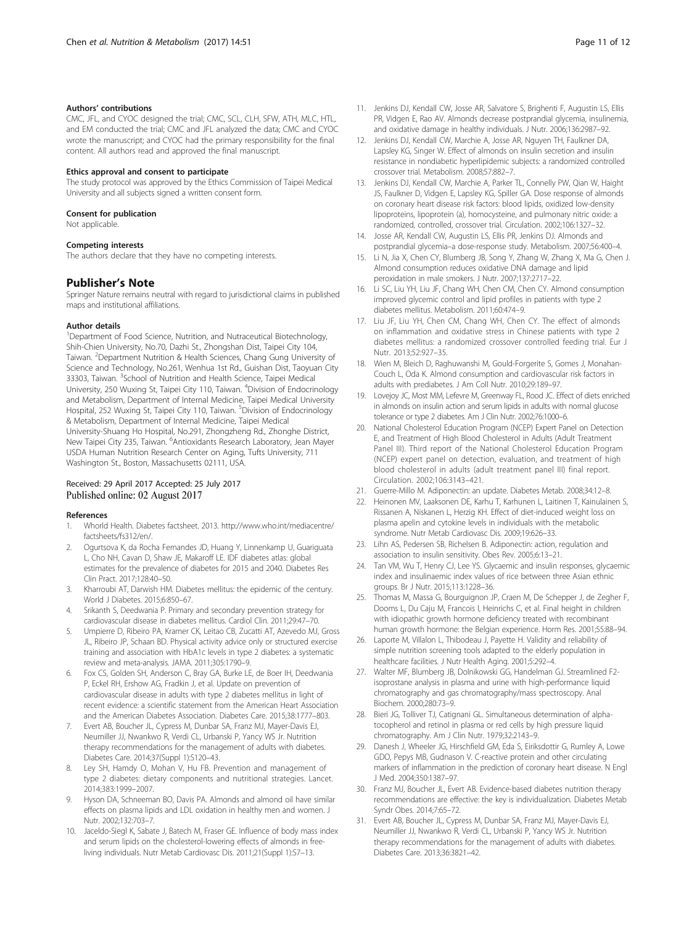#### <span id="page-10-0"></span>Authors' contributions

CMC, JFL, and CYOC designed the trial; CMC, SCL, CLH, SFW, ATH, [MLC,](http://food.usc.edu.tw/people/writing_journal.php?Sn=162) HTL, and EM conducted the trial; CMC and JFL analyzed the data; CMC and CYOC wrote the manuscript; and CYOC had the primary responsibility for the final content. All authors read and approved the final manuscript.

#### Ethics approval and consent to participate

The study protocol was approved by the Ethics Commission of Taipei Medical University and all subjects signed a written consent form.

#### Consent for publication

Not applicable.

#### Competing interests

The authors declare that they have no competing interests.

## Publisher's Note

Springer Nature remains neutral with regard to jurisdictional claims in published maps and institutional affiliations.

#### Author details

<sup>1</sup>Department of Food Science, Nutrition, and Nutraceutical Biotechnology, Shih-Chien University, No.70, Dazhi St., Zhongshan Dist, Taipei City 104, Taiwan. <sup>2</sup>Department Nutrition & Health Sciences, Chang Gung University of Science and Technology, No.261, Wenhua 1st Rd., Guishan Dist, Taoyuan City 33303, Taiwan. <sup>3</sup>School of Nutrition and Health Science, Taipei Medical University, 250 Wuxing St, Taipei City 110, Taiwan. <sup>4</sup>Division of Endocrinology and Metabolism, Department of Internal Medicine, Taipei Medical University Hospital, 252 Wuxing St, Taipei City 110, Taiwan. <sup>5</sup>Division of Endocrinology & Metabolism, Department of Internal Medicine, Taipei Medical University-Shuang Ho Hospital, No.291, Zhongzheng Rd., Zhonghe District, New Taipei City 235, Taiwan. <sup>6</sup>Antioxidants Research Laboratory, Jean Mayer USDA Human Nutrition Research Center on Aging, Tufts University, 711 Washington St., Boston, Massachusetts 02111, USA.

## Received: 29 April 2017 Accepted: 25 July 2017 Published online: 02 August 2017

#### References

- 1. Whorld Health. Diabetes factsheet. 2013. [http://www.who.int/mediacentre/](http://www.who.int/mediacentre/factsheets/fs312/en/) [factsheets/fs312/en/](http://www.who.int/mediacentre/factsheets/fs312/en/).
- 2. Ogurtsova K, da Rocha Fernandes JD, Huang Y, Linnenkamp U, Guariguata L, Cho NH, Cavan D, Shaw JE, Makaroff LE. IDF diabetes atlas: global estimates for the prevalence of diabetes for 2015 and 2040. Diabetes Res Clin Pract. 2017;128:40–50.
- 3. Kharroubi AT, Darwish HM. Diabetes mellitus: the epidemic of the century. World J Diabetes. 2015;6:850–67.
- 4. Srikanth S, Deedwania P. Primary and secondary prevention strategy for cardiovascular disease in diabetes mellitus. Cardiol Clin. 2011;29:47–70.
- 5. Umpierre D, Ribeiro PA, Kramer CK, Leitao CB, Zucatti AT, Azevedo MJ, Gross JL, Ribeiro JP, Schaan BD. Physical activity advice only or structured exercise training and association with HbA1c levels in type 2 diabetes: a systematic review and meta-analysis. JAMA. 2011;305:1790–9.
- Fox CS, Golden SH, Anderson C, Bray GA, Burke LE, de Boer IH, Deedwania P, Eckel RH, Ershow AG, Fradkin J, et al. Update on prevention of cardiovascular disease in adults with type 2 diabetes mellitus in light of recent evidence: a scientific statement from the American Heart Association and the American Diabetes Association. Diabetes Care. 2015;38:1777–803.
- 7. Evert AB, Boucher JL, Cypress M, Dunbar SA, Franz MJ, Mayer-Davis EJ, Neumiller JJ, Nwankwo R, Verdi CL, Urbanski P, Yancy WS Jr. Nutrition therapy recommendations for the management of adults with diabetes. Diabetes Care. 2014;37(Suppl 1):S120–43.
- 8. Ley SH, Hamdy O, Mohan V, Hu FB. Prevention and management of type 2 diabetes: dietary components and nutritional strategies. Lancet. 2014;383:1999–2007.
- 9. Hyson DA, Schneeman BO, Davis PA. Almonds and almond oil have similar effects on plasma lipids and LDL oxidation in healthy men and women. J Nutr. 2002;132:703–7.
- 10. Jaceldo-Siegl K, Sabate J, Batech M, Fraser GE. Influence of body mass index and serum lipids on the cholesterol-lowering effects of almonds in freeliving individuals. Nutr Metab Cardiovasc Dis. 2011;21(Suppl 1):S7–13.
- 11. Jenkins DJ, Kendall CW, Josse AR, Salvatore S, Brighenti F, Augustin LS, Ellis PR, Vidgen E, Rao AV. Almonds decrease postprandial glycemia, insulinemia, and oxidative damage in healthy individuals. J Nutr. 2006;136:2987–92.
- 12. Jenkins DJ, Kendall CW, Marchie A, Josse AR, Nguyen TH, Faulkner DA, Lapsley KG, Singer W. Effect of almonds on insulin secretion and insulin resistance in nondiabetic hyperlipidemic subjects: a randomized controlled crossover trial. Metabolism. 2008;57:882–7.
- 13. Jenkins DJ, Kendall CW, Marchie A, Parker TL, Connelly PW, Qian W, Haight JS, Faulkner D, Vidgen E, Lapsley KG, Spiller GA. Dose response of almonds on coronary heart disease risk factors: blood lipids, oxidized low-density lipoproteins, lipoprotein (a), homocysteine, and pulmonary nitric oxide: a randomized, controlled, crossover trial. Circulation. 2002;106:1327–32.
- 14. Josse AR, Kendall CW, Augustin LS, Ellis PR, Jenkins DJ. Almonds and postprandial glycemia–a dose-response study. Metabolism. 2007;56:400–4.
- 15. Li N, Jia X, Chen CY, Blumberg JB, Song Y, Zhang W, Zhang X, Ma G, Chen J. Almond consumption reduces oxidative DNA damage and lipid peroxidation in male smokers. J Nutr. 2007;137:2717–22.
- 16. Li SC, Liu YH, Liu JF, Chang WH, Chen CM, Chen CY. Almond consumption improved glycemic control and lipid profiles in patients with type 2 diabetes mellitus. Metabolism. 2011;60:474–9.
- 17. Liu JF, Liu YH, Chen CM, Chang WH, Chen CY. The effect of almonds on inflammation and oxidative stress in Chinese patients with type 2 diabetes mellitus: a randomized crossover controlled feeding trial. Eur J Nutr. 2013;52:927–35.
- 18. Wien M, Bleich D, Raghuwanshi M, Gould-Forgerite S, Gomes J, Monahan-Couch L, Oda K. Almond consumption and cardiovascular risk factors in adults with prediabetes. J Am Coll Nutr. 2010;29:189–97.
- 19. Lovejoy JC, Most MM, Lefevre M, Greenway FL, Rood JC. Effect of diets enriched in almonds on insulin action and serum lipids in adults with normal glucose tolerance or type 2 diabetes. Am J Clin Nutr. 2002;76:1000–6.
- 20. National Cholesterol Education Program (NCEP) Expert Panel on Detection E, and Treatment of High Blood Cholesterol in Adults (Adult Treatment Panel III). Third report of the National Cholesterol Education Program (NCEP) expert panel on detection, evaluation, and treatment of high blood cholesterol in adults (adult treatment panel III) final report. Circulation. 2002;106:3143–421.
- 21. Guerre-Millo M. Adiponectin: an update. Diabetes Metab. 2008;34:12–8.
- 22. Heinonen MV, Laaksonen DE, Karhu T, Karhunen L, Laitinen T, Kainulainen S, Rissanen A, Niskanen L, Herzig KH. Effect of diet-induced weight loss on plasma apelin and cytokine levels in individuals with the metabolic syndrome. Nutr Metab Cardiovasc Dis. 2009;19:626–33.
- 23. Lihn AS, Pedersen SB, Richelsen B. Adiponectin: action, regulation and association to insulin sensitivity. Obes Rev. 2005;6:13–21.
- 24. Tan VM, Wu T, Henry CJ, Lee YS. Glycaemic and insulin responses, glycaemic index and insulinaemic index values of rice between three Asian ethnic groups. Br J Nutr. 2015;113:1228–36.
- 25. Thomas M, Massa G, Bourguignon JP, Craen M, De Schepper J, de Zegher F, Dooms L, Du Caju M, Francois I, Heinrichs C, et al. Final height in children with idiopathic growth hormone deficiency treated with recombinant human growth hormone: the Belgian experience. Horm Res. 2001;55:88–94.
- 26. Laporte M, Villalon L, Thibodeau J, Payette H. Validity and reliability of simple nutrition screening tools adapted to the elderly population in healthcare facilities. J Nutr Health Aging. 2001;5:292–4.
- 27. Walter MF, Blumberg JB, Dolnikowski GG, Handelman GJ. Streamlined F2 isoprostane analysis in plasma and urine with high-performance liquid chromatography and gas chromatography/mass spectroscopy. Anal Biochem. 2000;280:73–9.
- 28. Bieri JG, Tolliver TJ, Catignani GL. Simultaneous determination of alphatocopherol and retinol in plasma or red cells by high pressure liquid chromatography. Am J Clin Nutr. 1979;32:2143–9.
- 29. Danesh J, Wheeler JG, Hirschfield GM, Eda S, Eiriksdottir G, Rumley A, Lowe GDO, Pepys MB, Gudnason V. C-reactive protein and other circulating markers of inflammation in the prediction of coronary heart disease. N Engl J Med. 2004;350:1387–97.
- 30. Franz MJ, Boucher JL, Evert AB. Evidence-based diabetes nutrition therapy recommendations are effective: the key is individualization. Diabetes Metab Syndr Obes. 2014;7:65–72.
- 31. Evert AB, Boucher JL, Cypress M, Dunbar SA, Franz MJ, Mayer-Davis EJ, Neumiller JJ, Nwankwo R, Verdi CL, Urbanski P, Yancy WS Jr. Nutrition therapy recommendations for the management of adults with diabetes. Diabetes Care. 2013;36:3821–42.